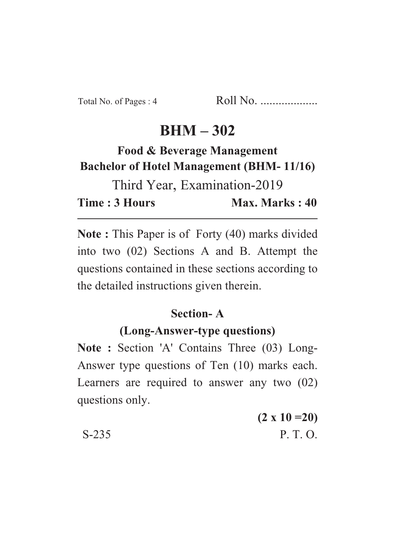# **BHM – 302**

# **Food & Beverage Management Bachelor of Hotel Management (BHM- 11/16)**

Third Year, Examination-2019 **Time : 3 Hours Max. Marks : 40** 

**Note :** This Paper is of Forty (40) marks divided into two (02) Sections A and B. Attempt the questions contained in these sections according to the detailed instructions given therein.

### **Section- A**

#### **(Long-Answer-type questions)**

Note : Section 'A' Contains Three (03) Long-Answer type questions of Ten (10) marks each. Learners are required to answer any two (02) questions only.

**(2 x 10 =20)**  $S-235$  P. T. O.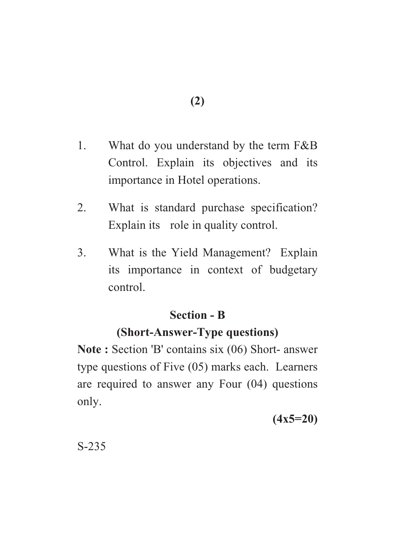- 1. What do you understand by the term F&B Control. Explain its objectives and its importance in Hotel operations.
- 2. What is standard purchase specification? Explain its role in quality control.
- 3. What is the Yield Management? Explain its importance in context of budgetary control.

### **Section - B**

## **(Short-Answer-Type questions)**

**Note :** Section 'B' contains six (06) Short- answer type questions of Five (05) marks each. Learners are required to answer any Four (04) questions only.

**(4x5=20)**

S-235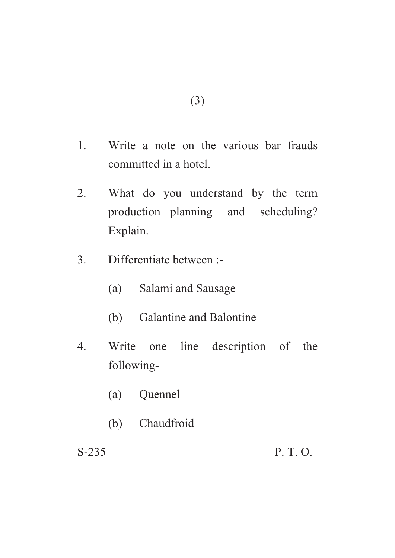- 1. Write a note on the various bar frauds committed in a hotel.
- 2. What do you understand by the term production planning and scheduling? Explain.
- 3. Differentiate between :-
	- (a) Salami and Sausage
	- (b) Galantine and Balontine
- 4. Write one line description of the following-
	- (a) Quennel
	- (b) Chaudfroid

S-235 P. T. O.